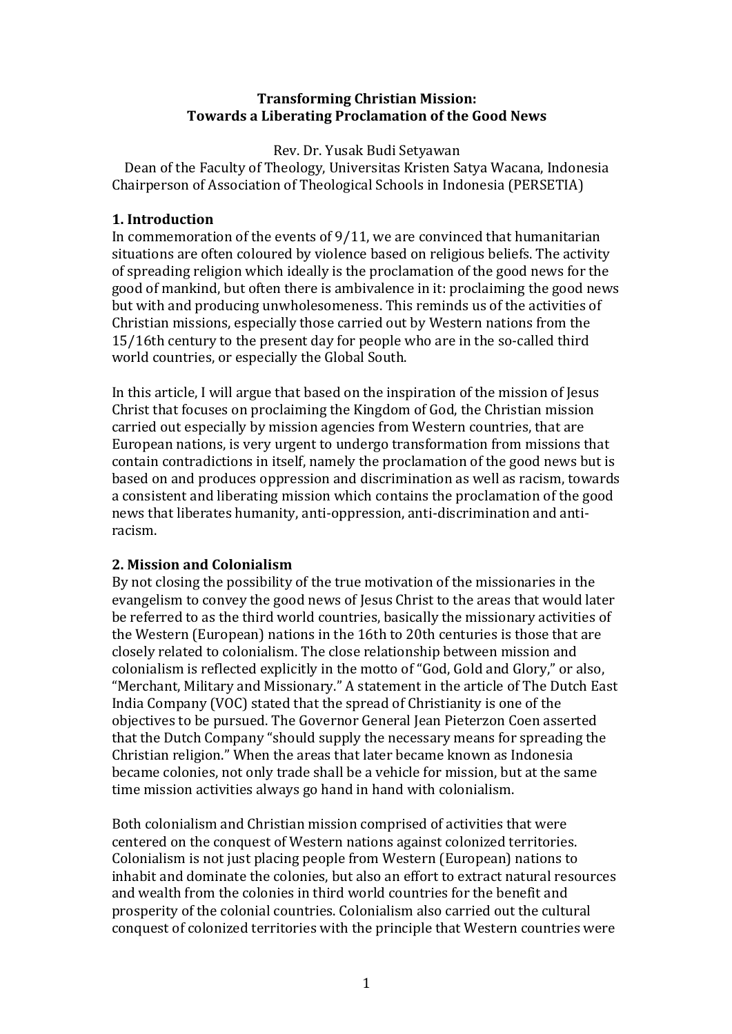## **Transforming Christian Mission:** Towards a Liberating Proclamation of the Good News

## Rev. Dr. Yusak Budi Setyawan

Dean of the Faculty of Theology, Universitas Kristen Satya Wacana, Indonesia Chairperson of Association of Theological Schools in Indonesia (PERSETIA)

# **1. Introduction**

In commemoration of the events of  $9/11$ , we are convinced that humanitarian situations are often coloured by violence based on religious beliefs. The activity of spreading religion which ideally is the proclamation of the good news for the good of mankind, but often there is ambivalence in it: proclaiming the good news but with and producing unwholesomeness. This reminds us of the activities of Christian missions, especially those carried out by Western nations from the 15/16th century to the present day for people who are in the so-called third world countries, or especially the Global South.

In this article, I will argue that based on the inspiration of the mission of Jesus Christ that focuses on proclaiming the Kingdom of God, the Christian mission carried out especially by mission agencies from Western countries, that are European nations, is very urgent to undergo transformation from missions that contain contradictions in itself, namely the proclamation of the good news but is based on and produces oppression and discrimination as well as racism, towards a consistent and liberating mission which contains the proclamation of the good news that liberates humanity, anti-oppression, anti-discrimination and antiracism.

# **2. Mission and Colonialism**

By not closing the possibility of the true motivation of the missionaries in the evangelism to convey the good news of lesus Christ to the areas that would later be referred to as the third world countries, basically the missionary activities of the Western (European) nations in the 16th to 20th centuries is those that are closely related to colonialism. The close relationship between mission and colonialism is reflected explicitly in the motto of "God, Gold and Glory," or also, "Merchant, Military and Missionary." A statement in the article of The Dutch East India Company (VOC) stated that the spread of Christianity is one of the objectives to be pursued. The Governor General Jean Pieterzon Coen asserted that the Dutch Company "should supply the necessary means for spreading the Christian religion." When the areas that later became known as Indonesia became colonies, not only trade shall be a vehicle for mission, but at the same time mission activities always go hand in hand with colonialism.

Both colonialism and Christian mission comprised of activities that were centered on the conquest of Western nations against colonized territories. Colonialism is not just placing people from Western (European) nations to inhabit and dominate the colonies, but also an effort to extract natural resources and wealth from the colonies in third world countries for the benefit and prosperity of the colonial countries. Colonialism also carried out the cultural conquest of colonized territories with the principle that Western countries were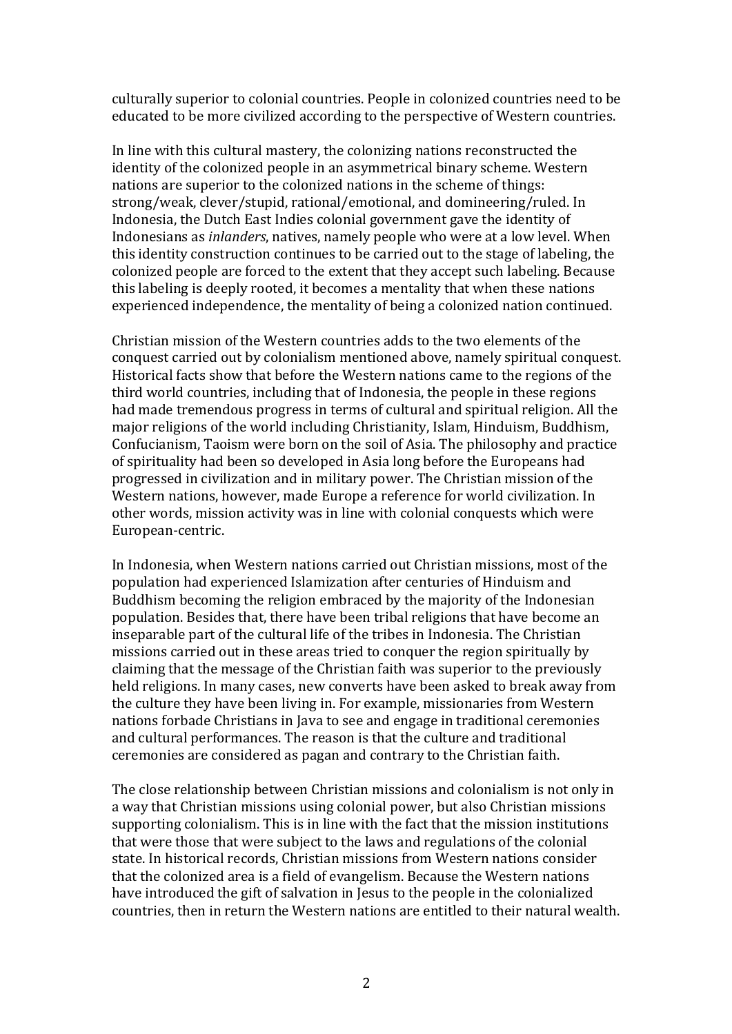culturally superior to colonial countries. People in colonized countries need to be educated to be more civilized according to the perspective of Western countries.

In line with this cultural mastery, the colonizing nations reconstructed the identity of the colonized people in an asymmetrical binary scheme. Western nations are superior to the colonized nations in the scheme of things: strong/weak, clever/stupid, rational/emotional, and domineering/ruled. In Indonesia, the Dutch East Indies colonial government gave the identity of Indonesians as *inlanders*, natives, namely people who were at a low level. When this identity construction continues to be carried out to the stage of labeling, the colonized people are forced to the extent that they accept such labeling. Because this labeling is deeply rooted, it becomes a mentality that when these nations experienced independence, the mentality of being a colonized nation continued.

Christian mission of the Western countries adds to the two elements of the conquest carried out by colonialism mentioned above, namely spiritual conquest. Historical facts show that before the Western nations came to the regions of the third world countries, including that of Indonesia, the people in these regions had made tremendous progress in terms of cultural and spiritual religion. All the major religions of the world including Christianity, Islam, Hinduism, Buddhism, Confucianism, Taoism were born on the soil of Asia. The philosophy and practice of spirituality had been so developed in Asia long before the Europeans had progressed in civilization and in military power. The Christian mission of the Western nations, however, made Europe a reference for world civilization. In other words, mission activity was in line with colonial conquests which were European-centric.

In Indonesia, when Western nations carried out Christian missions, most of the population had experienced Islamization after centuries of Hinduism and Buddhism becoming the religion embraced by the majority of the Indonesian population. Besides that, there have been tribal religions that have become an inseparable part of the cultural life of the tribes in Indonesia. The Christian missions carried out in these areas tried to conquer the region spiritually by claiming that the message of the Christian faith was superior to the previously held religions. In many cases, new converts have been asked to break away from the culture they have been living in. For example, missionaries from Western nations forbade Christians in Java to see and engage in traditional ceremonies and cultural performances. The reason is that the culture and traditional ceremonies are considered as pagan and contrary to the Christian faith.

The close relationship between Christian missions and colonialism is not only in a way that Christian missions using colonial power, but also Christian missions supporting colonialism. This is in line with the fact that the mission institutions that were those that were subiect to the laws and regulations of the colonial state. In historical records, Christian missions from Western nations consider that the colonized area is a field of evangelism. Because the Western nations have introduced the gift of salvation in Jesus to the people in the colonialized countries, then in return the Western nations are entitled to their natural wealth.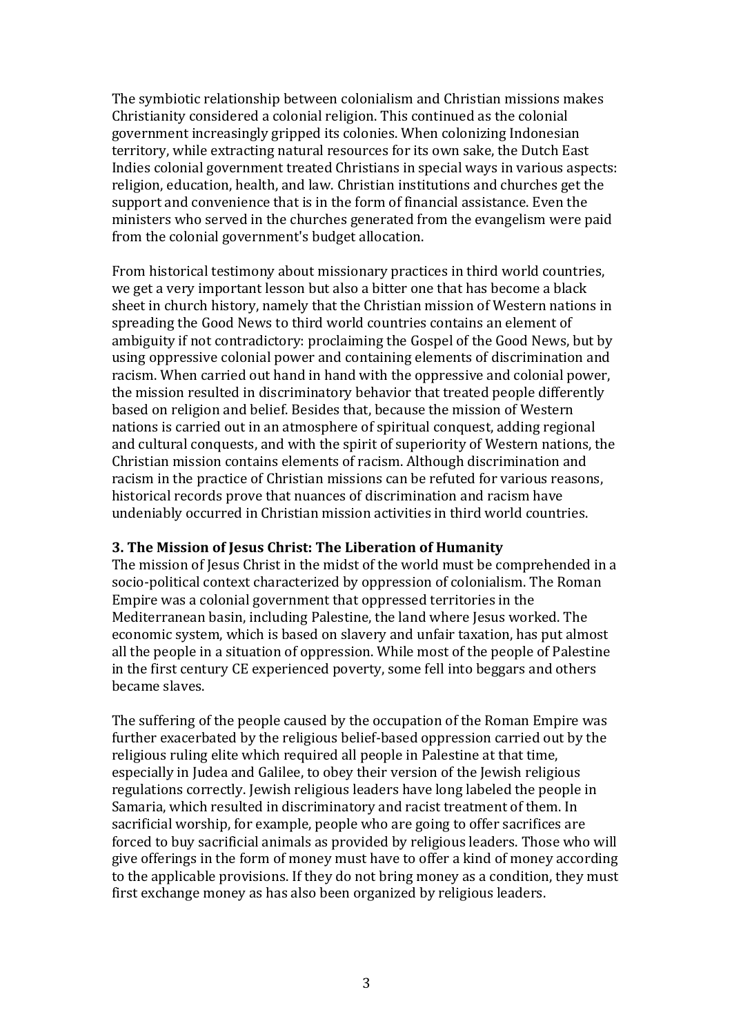The symbiotic relationship between colonialism and Christian missions makes Christianity considered a colonial religion. This continued as the colonial government increasingly gripped its colonies. When colonizing Indonesian territory, while extracting natural resources for its own sake, the Dutch East Indies colonial government treated Christians in special ways in various aspects: religion, education, health, and law. Christian institutions and churches get the support and convenience that is in the form of financial assistance. Even the ministers who served in the churches generated from the evangelism were paid from the colonial government's budget allocation.

From historical testimony about missionary practices in third world countries, we get a very important lesson but also a bitter one that has become a black sheet in church history, namely that the Christian mission of Western nations in spreading the Good News to third world countries contains an element of ambiguity if not contradictory: proclaiming the Gospel of the Good News, but by using oppressive colonial power and containing elements of discrimination and racism. When carried out hand in hand with the oppressive and colonial power, the mission resulted in discriminatory behavior that treated people differently based on religion and belief. Besides that, because the mission of Western nations is carried out in an atmosphere of spiritual conquest, adding regional and cultural conquests, and with the spirit of superiority of Western nations, the Christian mission contains elements of racism. Although discrimination and racism in the practice of Christian missions can be refuted for various reasons. historical records prove that nuances of discrimination and racism have undeniably occurred in Christian mission activities in third world countries.

#### **3. The Mission of Jesus Christ: The Liberation of Humanity**

The mission of Jesus Christ in the midst of the world must be comprehended in a socio-political context characterized by oppression of colonialism. The Roman Empire was a colonial government that oppressed territories in the Mediterranean basin, including Palestine, the land where Jesus worked. The economic system, which is based on slavery and unfair taxation, has put almost all the people in a situation of oppression. While most of the people of Palestine in the first century CE experienced poverty, some fell into beggars and others became slaves.

The suffering of the people caused by the occupation of the Roman Empire was further exacerbated by the religious belief-based oppression carried out by the religious ruling elite which required all people in Palestine at that time, especially in Judea and Galilee, to obey their version of the Jewish religious regulations correctly. Jewish religious leaders have long labeled the people in Samaria, which resulted in discriminatory and racist treatment of them. In sacrificial worship, for example, people who are going to offer sacrifices are forced to buy sacrificial animals as provided by religious leaders. Those who will give offerings in the form of money must have to offer a kind of money according to the applicable provisions. If they do not bring money as a condition, they must first exchange money as has also been organized by religious leaders.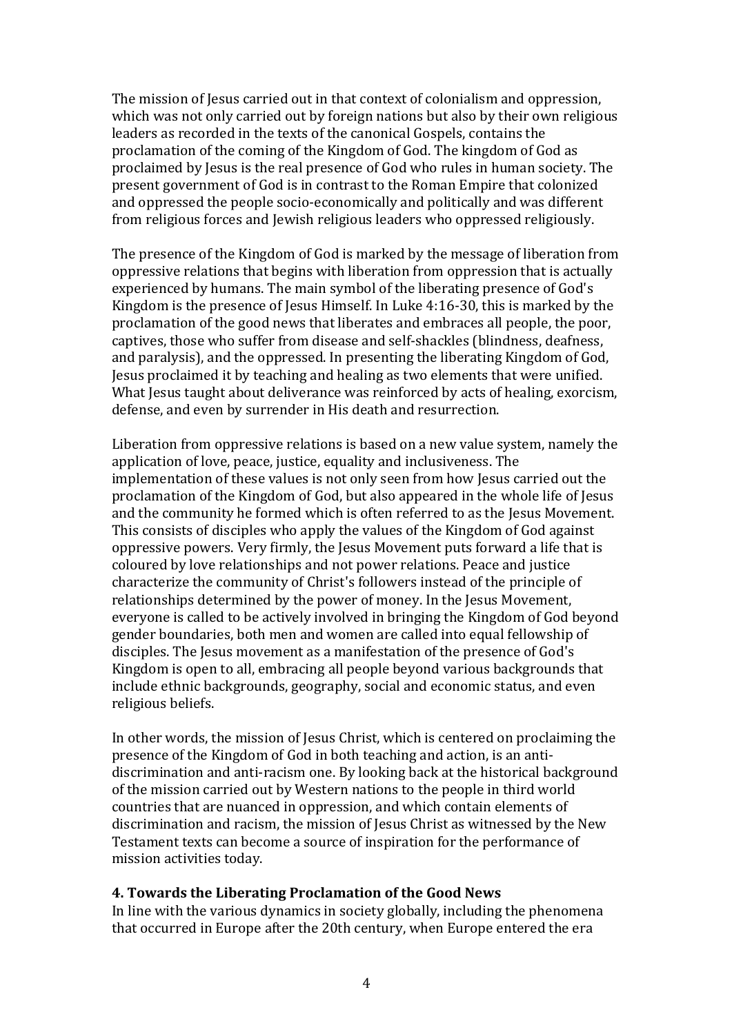The mission of Jesus carried out in that context of colonialism and oppression, which was not only carried out by foreign nations but also by their own religious leaders as recorded in the texts of the canonical Gospels, contains the proclamation of the coming of the Kingdom of God. The kingdom of God as proclaimed by Jesus is the real presence of God who rules in human society. The present government of God is in contrast to the Roman Empire that colonized and oppressed the people socio-economically and politically and was different from religious forces and Jewish religious leaders who oppressed religiously.

The presence of the Kingdom of God is marked by the message of liberation from oppressive relations that begins with liberation from oppression that is actually experienced by humans. The main symbol of the liberating presence of God's Kingdom is the presence of Jesus Himself. In Luke  $4:16-30$ , this is marked by the proclamation of the good news that liberates and embraces all people, the poor, captives, those who suffer from disease and self-shackles (blindness, deafness, and paralysis), and the oppressed. In presenting the liberating Kingdom of God, Jesus proclaimed it by teaching and healing as two elements that were unified. What Jesus taught about deliverance was reinforced by acts of healing, exorcism, defense, and even by surrender in His death and resurrection.

Liberation from oppressive relations is based on a new value system, namely the application of love, peace, justice, equality and inclusiveness. The implementation of these values is not only seen from how Jesus carried out the proclamation of the Kingdom of God, but also appeared in the whole life of Jesus and the community he formed which is often referred to as the Jesus Movement. This consists of disciples who apply the values of the Kingdom of God against oppressive powers. Very firmly, the Jesus Movement puts forward a life that is coloured by love relationships and not power relations. Peace and justice characterize the community of Christ's followers instead of the principle of relationships determined by the power of money. In the Jesus Movement, everyone is called to be actively involved in bringing the Kingdom of God beyond gender boundaries, both men and women are called into equal fellowship of disciples. The Jesus movement as a manifestation of the presence of God's Kingdom is open to all, embracing all people beyond various backgrounds that include ethnic backgrounds, geography, social and economic status, and even religious beliefs.

In other words, the mission of Jesus Christ, which is centered on proclaiming the presence of the Kingdom of God in both teaching and action, is an antidiscrimination and anti-racism one. By looking back at the historical background of the mission carried out by Western nations to the people in third world countries that are nuanced in oppression, and which contain elements of discrimination and racism, the mission of Jesus Christ as witnessed by the New Testament texts can become a source of inspiration for the performance of mission activities today.

### **4. Towards the Liberating Proclamation of the Good News**

In line with the various dynamics in society globally, including the phenomena that occurred in Europe after the 20th century, when Europe entered the era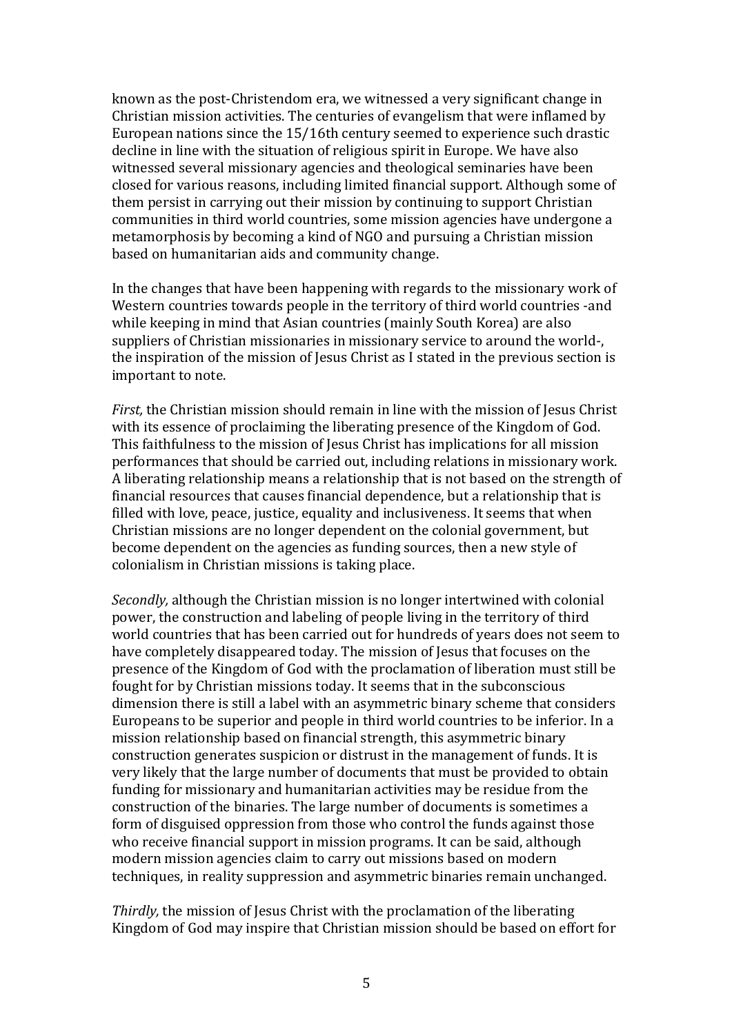known as the post-Christendom era, we witnessed a very significant change in Christian mission activities. The centuries of evangelism that were inflamed by European nations since the 15/16th century seemed to experience such drastic decline in line with the situation of religious spirit in Europe. We have also witnessed several missionary agencies and theological seminaries have been closed for various reasons, including limited financial support. Although some of them persist in carrying out their mission by continuing to support Christian communities in third world countries, some mission agencies have undergone a metamorphosis by becoming a kind of NGO and pursuing a Christian mission based on humanitarian aids and community change.

In the changes that have been happening with regards to the missionary work of Western countries towards people in the territory of third world countries -and while keeping in mind that Asian countries (mainly South Korea) are also suppliers of Christian missionaries in missionary service to around the world-, the inspiration of the mission of Jesus Christ as I stated in the previous section is important to note.

*First*, the Christian mission should remain in line with the mission of Jesus Christ with its essence of proclaiming the liberating presence of the Kingdom of God. This faithfulness to the mission of Jesus Christ has implications for all mission performances that should be carried out, including relations in missionary work. A liberating relationship means a relationship that is not based on the strength of financial resources that causes financial dependence, but a relationship that is filled with love, peace, justice, equality and inclusiveness. It seems that when Christian missions are no longer dependent on the colonial government, but become dependent on the agencies as funding sources, then a new style of colonialism in Christian missions is taking place.

*Secondly*, although the Christian mission is no longer intertwined with colonial power, the construction and labeling of people living in the territory of third world countries that has been carried out for hundreds of years does not seem to have completely disappeared today. The mission of Jesus that focuses on the presence of the Kingdom of God with the proclamation of liberation must still be fought for by Christian missions today. It seems that in the subconscious dimension there is still a label with an asymmetric binary scheme that considers Europeans to be superior and people in third world countries to be inferior. In a mission relationship based on financial strength, this asymmetric binary construction generates suspicion or distrust in the management of funds. It is very likely that the large number of documents that must be provided to obtain funding for missionary and humanitarian activities may be residue from the construction of the binaries. The large number of documents is sometimes a form of disguised oppression from those who control the funds against those who receive financial support in mission programs. It can be said, although modern mission agencies claim to carry out missions based on modern techniques, in reality suppression and asymmetric binaries remain unchanged.

*Thirdly*, the mission of Jesus Christ with the proclamation of the liberating Kingdom of God may inspire that Christian mission should be based on effort for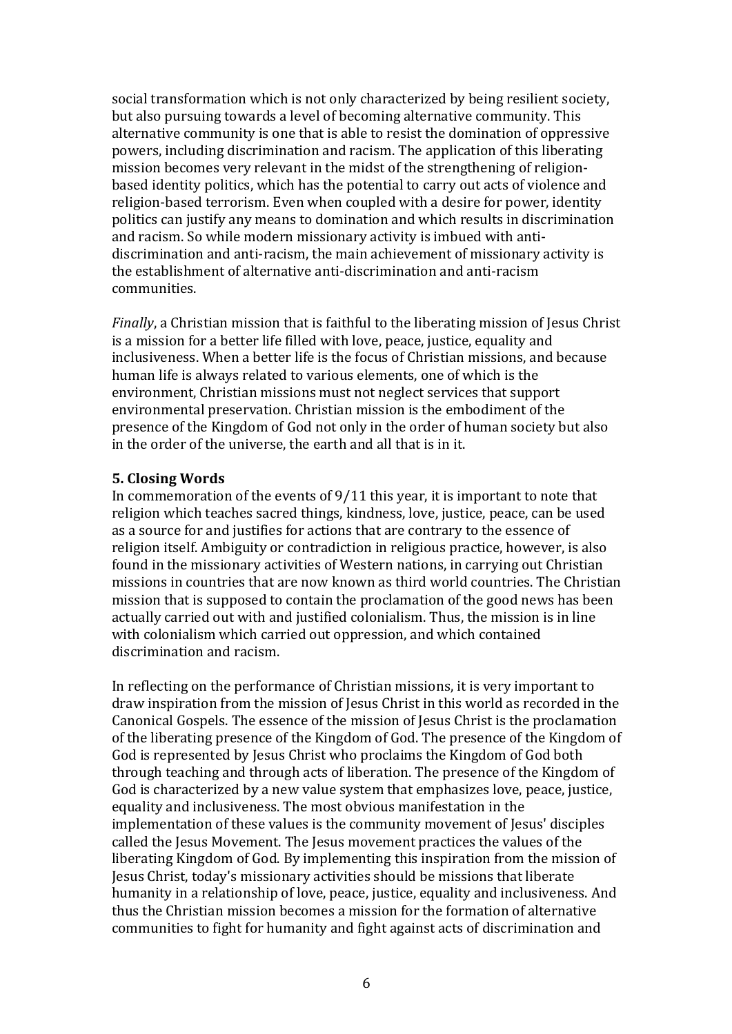social transformation which is not only characterized by being resilient society, but also pursuing towards a level of becoming alternative community. This alternative community is one that is able to resist the domination of oppressive powers, including discrimination and racism. The application of this liberating mission becomes very relevant in the midst of the strengthening of religionbased identity politics, which has the potential to carry out acts of violence and religion-based terrorism. Even when coupled with a desire for power, identity politics can justify any means to domination and which results in discrimination and racism. So while modern missionary activity is imbued with antidiscrimination and anti-racism, the main achievement of missionary activity is the establishment of alternative anti-discrimination and anti-racism communities.

*Finally*, a Christian mission that is faithful to the liberating mission of Jesus Christ is a mission for a better life filled with love, peace, justice, equality and inclusiveness. When a better life is the focus of Christian missions, and because human life is always related to various elements, one of which is the environment, Christian missions must not neglect services that support environmental preservation. Christian mission is the embodiment of the presence of the Kingdom of God not only in the order of human society but also in the order of the universe, the earth and all that is in it.

### **5. Closing Words**

In commemoration of the events of  $9/11$  this year, it is important to note that religion which teaches sacred things, kindness, love, justice, peace, can be used as a source for and justifies for actions that are contrary to the essence of religion itself. Ambiguity or contradiction in religious practice, however, is also found in the missionary activities of Western nations, in carrying out Christian missions in countries that are now known as third world countries. The Christian mission that is supposed to contain the proclamation of the good news has been actually carried out with and justified colonialism. Thus, the mission is in line with colonialism which carried out oppression, and which contained discrimination and racism.

In reflecting on the performance of Christian missions, it is very important to draw inspiration from the mission of Jesus Christ in this world as recorded in the Canonical Gospels. The essence of the mission of Jesus Christ is the proclamation of the liberating presence of the Kingdom of God. The presence of the Kingdom of God is represented by Jesus Christ who proclaims the Kingdom of God both through teaching and through acts of liberation. The presence of the Kingdom of God is characterized by a new value system that emphasizes love, peace, justice, equality and inclusiveness. The most obvious manifestation in the implementation of these values is the community movement of Jesus' disciples called the Jesus Movement. The Jesus movement practices the values of the liberating Kingdom of God. By implementing this inspiration from the mission of Jesus Christ, today's missionary activities should be missions that liberate humanity in a relationship of love, peace, justice, equality and inclusiveness. And thus the Christian mission becomes a mission for the formation of alternative communities to fight for humanity and fight against acts of discrimination and